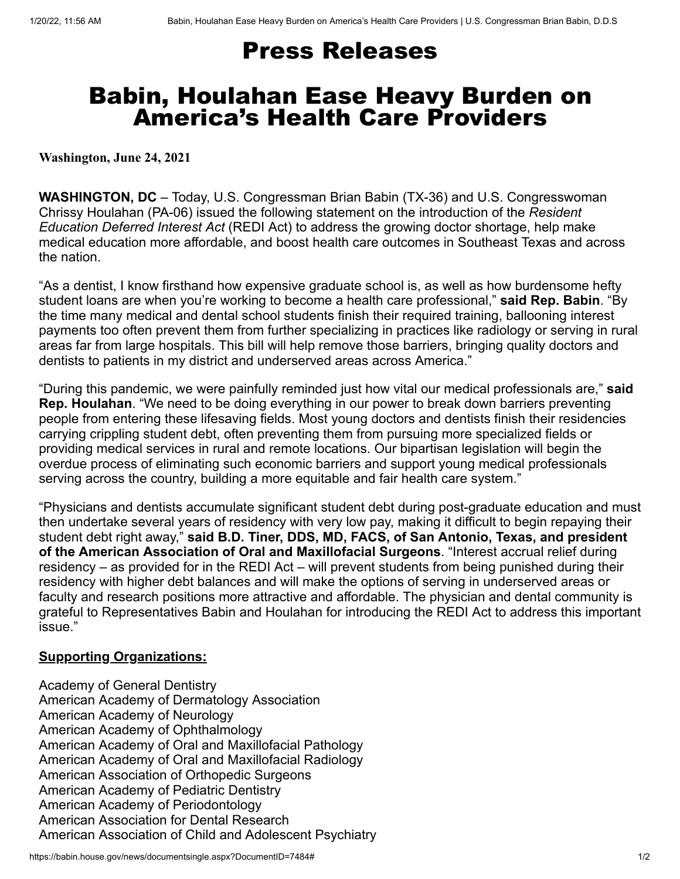## Press Releases

## Babin, Houlahan Ease Heavy Burden on America's Health Care Providers

**Washington, June 24, 2021**

**WASHINGTON, DC** – Today, U.S. Congressman Brian Babin (TX-36) and U.S. Congresswoman Chrissy Houlahan (PA-06) issued the following statement on the introduction of the *Resident Education Deferred Interest Act* (REDI Act) to address the growing doctor shortage, help make medical education more affordable, and boost health care outcomes in Southeast Texas and across the nation.

"As a dentist, I know firsthand how expensive graduate school is, as well as how burdensome hefty student loans are when you're working to become a health care professional," **said Rep. Babin**. "By the time many medical and dental school students finish their required training, ballooning interest payments too often prevent them from further specializing in practices like radiology or serving in rural areas far from large hospitals. This bill will help remove those barriers, bringing quality doctors and dentists to patients in my district and underserved areas across America."

"During this pandemic, we were painfully reminded just how vital our medical professionals are," **said Rep. Houlahan**. "We need to be doing everything in our power to break down barriers preventing people from entering these lifesaving fields. Most young doctors and dentists finish their residencies carrying crippling student debt, often preventing them from pursuing more specialized fields or providing medical services in rural and remote locations. Our bipartisan legislation will begin the overdue process of eliminating such economic barriers and support young medical professionals serving across the country, building a more equitable and fair health care system."

"Physicians and dentists accumulate significant student debt during post-graduate education and must then undertake several years of residency with very low pay, making it difficult to begin repaying their student debt right away," **said B.D. Tiner, DDS, MD, FACS, of San Antonio, Texas, and president of the American Association of Oral and Maxillofacial Surgeons**. "Interest accrual relief during residency – as provided for in the REDI Act – will prevent students from being punished during their residency with higher debt balances and will make the options of serving in underserved areas or faculty and research positions more attractive and affordable. The physician and dental community is grateful to Representatives Babin and Houlahan for introducing the REDI Act to address this important issue."

## **Supporting Organizations:**

Academy of General Dentistry American Academy of Dermatology Association American Academy of Neurology American Academy of Ophthalmology American Academy of Oral and Maxillofacial Pathology American Academy of Oral and Maxillofacial Radiology American Association of Orthopedic Surgeons American Academy of Pediatric Dentistry American Academy of Periodontology American Association for Dental Research American Association of Child and Adolescent Psychiatry